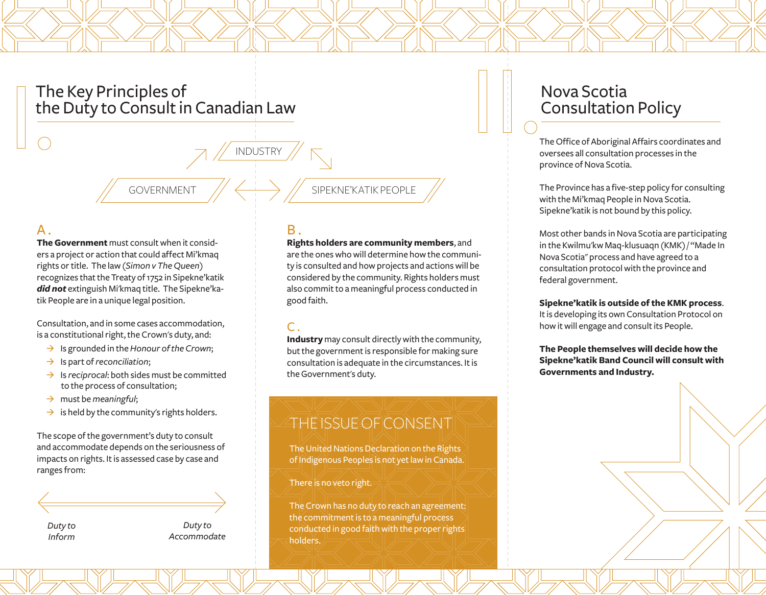# The Key Principles of the Duty to Consult in Canadian Law

GOVERNMENT

### $\mathsf{A}$ .

**The Government** must consult when it considers a project or action that could affect Mi'kmaq rights or title. The law (*Simon v The Queen*) recognizes that the Treaty of 1752 in Sipekne'katik *did not* extinguish Mi'kmaq title. The Sipekne'katik People are in a unique legal position.

Consultation, and in some cases accommodation, is a constitutional right, the Crown's duty, and:

- → Is grounded in the *Honour of the Crown*;
- → Is part of *reconciliation*;
- $\rightarrow$  Is *reciprocal*: both sides must be committed to the process of consultation;
- → must be *meaningful*;
- $\rightarrow$  is held by the community's rights holders.

The scope of the government's duty to consult and accommodate depends on the seriousness of impacts on rights. It is assessed case by case and ranges from:

*Duty to Inform*

*Duty to Accommodate*

## $B.$

INDUSTRY

#### **Rights holders are community members**, and

SIPEKNE'KATIK PEOPLE

are the ones who will determine how the community is consulted and how projects and actions will be considered by the community. Rights holders must also commit to a meaningful process conducted in good faith.

#### $\mathsf{C}$ .

**Industry** may consult directly with the community, but the government is responsible for making sure consultation is adequate in the circumstances. It is the Government's duty.

# THE ISSUE OF CONSENT

The United Nations Declaration on the Rights of Indigenous Peoples is not yet law in Canada.

#### There is no veto right.

The Crown has no duty to reach an agreement: the commitment is to a meaningful process conducted in good faith with the proper rights holders.

# Nova Scotia Consultation Policy

The Office of Aboriginal Affairs coordinates and oversees all consultation processes in the province of Nova Scotia.

The Province has a five-step policy for consulting with the Mi'kmaq People in Nova Scotia. Sipekne'katik is not bound by this policy.

Most other bands in Nova Scotia are participating in the Kwilmu'kw Maq-klusuaqn (KMK) / "Made In Nova Scotia" process and have agreed to a consultation protocol with the province and federal government.

#### **Sipekne'katik is outside of the KMK process**.

It is developing its own Consultation Protocol on how it will engage and consult its People.

**The People themselves will decide how the Sipekne'katik Band Council will consult with Governments and Industry.**